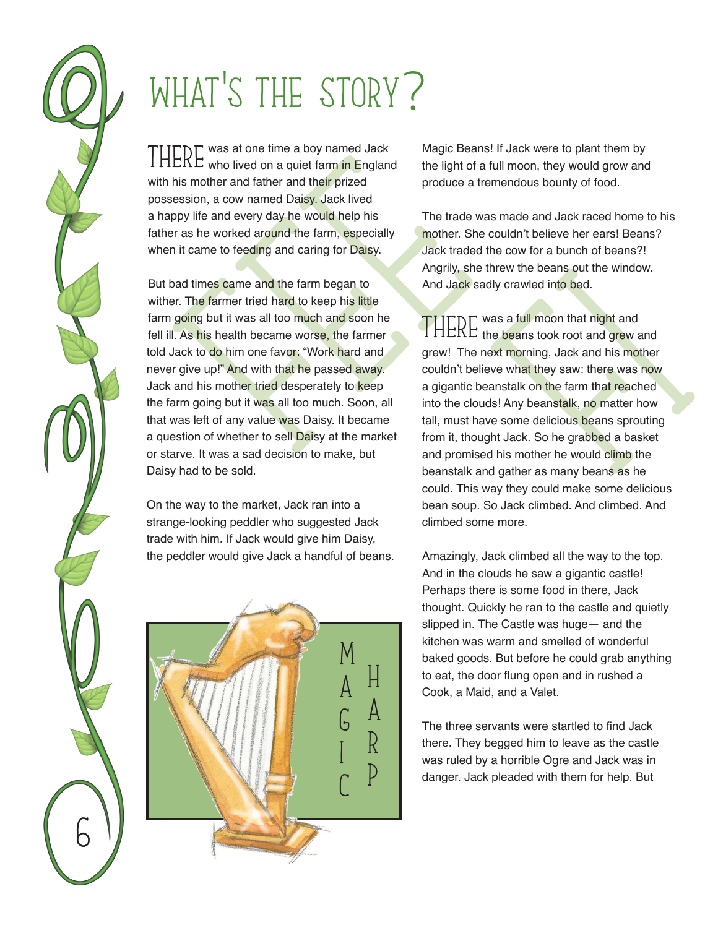## WHAT's tHE STORY?

THERE was at one time a boy named Jack<br>THERE who lived on a quiet farm in England with his mother and father and their prized possession, a cow named Daisy. Jack lived a happy life and every day he would help his father as he worked around the farm, especially when it came to feeding and caring for Daisy.

EKE who lived on a quiet farm in England the light of<br>his mother and father and their prized ession, a cow named Daisy. Jack lived<br>ppy life and every day he would help his The trade<br>prime are as he worked around the farm, But bad times came and the farm began to wither. The farmer tried hard to keep his little farm going but it was all too much and soon he fell ill. As his health became worse, the farmer told Jack to do him one favor: "Work hard and never give up!" And with that he passed away. Jack and his mother tried desperately to keep the farm going but it was all too much. Soon, all that was left of any value was Daisy. It became a question of whether to sell Daisy at the market or starve. It was a sad decision to make, but Daisy had to be sold.

On the way to the market, Jack ran into a strange-looking peddler who suggested Jack trade with him. If Jack would give him Daisy, the peddler would give Jack a handful of beans.



6

Magic Beans! If Jack were to plant them by the light of a full moon, they would grow and produce a tremendous bounty of food.

The trade was made and Jack raced home to his mother. She couldn't believe her ears! Beans? Jack traded the cow for a bunch of beans?! Angrily, she threw the beans out the window. And Jack sadly crawled into bed.

Threw the beans out the window.<br>Illy crawled into bed.<br>
vas a full moon that night and<br>
ne beans took root and grew and<br>
ext morning, Jack and his mother<br>
eve what they saw: there was now<br>
anstalk on the farm that reached<br> THERE was a full moon that night and<br>THERE the beans took root and grew and grew! The next morning, Jack and his mother couldn't believe what they saw: there was now a gigantic beanstalk on the farm that reached into the clouds! Any beanstalk, no matter how tall, must have some delicious beans sprouting from it, thought Jack. So he grabbed a basket and promised his mother he would climb the beanstalk and gather as many beans as he could. This way they could make some delicious bean soup. So Jack climbed. And climbed. And climbed some more.

Amazingly, Jack climbed all the way to the top. And in the clouds he saw a gigantic castle! Perhaps there is some food in there, Jack thought. Quickly he ran to the castle and quietly slipped in. The Castle was huge— and the kitchen was warm and smelled of wonderful baked goods. But before he could grab anything to eat, the door flung open and in rushed a Cook, a Maid, and a Valet.

The three servants were startled to find Jack there. They begged him to leave as the castle was ruled by a horrible Ogre and Jack was in danger. Jack pleaded with them for help. But